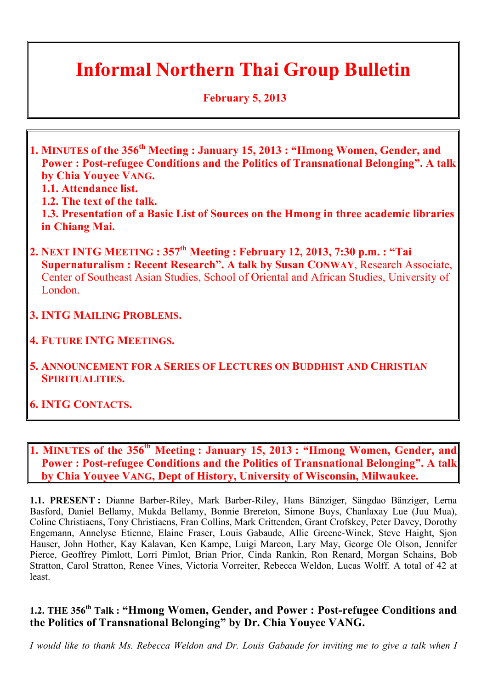### **Informal Northern Thai Group Bulletin**

 **February 5, 2013**

- **1. MINUTES of the 356th Meeting : January 15, 2013 : "Hmong Women, Gender, and Power : Post-refugee Conditions and the Politics of Transnational Belonging". A talk by Chia Youyee VANG.**
	- **1.1. Attendance list.**
	- **1.2. The text of the talk.**

**1.3. Presentation of a Basic List of Sources on the Hmong in three academic libraries in Chiang Mai.**

- **2. NEXT INTG MEETING : 357th Meeting : February 12, 2013, 7:30 p.m. : "Tai Supernaturalism : Recent Research". A talk by Susan CONWAY**, Research Associate, Center of Southeast Asian Studies, School of Oriental and African Studies, University of London.
- **3. INTG MAILING PROBLEMS.**
- **4. FUTURE INTG MEETINGS.**
- **5. ANNOUNCEMENT FOR A SERIES OF LECTURES ON BUDDHIST AND CHRISTIAN SPIRITUALITIES.**
- **6. INTG CONTACTS.**
- **1. MINUTES of the 356th Meeting : January 15, 2013 : "Hmong Women, Gender, and Power : Post-refugee Conditions and the Politics of Transnational Belonging". A talk by Chia Youyee VANG, Dept of History, University of Wisconsin, Milwaukee.**

**1.1. PRESENT :** Dianne Barber-Riley, Mark Barber-Riley, Hans Bänziger, Sängdao Bänziger, Lerna Basford, Daniel Bellamy, Mukda Bellamy, Bonnie Brereton, Simone Buys, Chanlaxay Lue (Juu Mua), Coline Christiaens, Tony Christiaens, Fran Collins, Mark Crittenden, Grant Crofskey, Peter Davey, Dorothy Engemann, Annelyse Etienne, Elaine Fraser, Louis Gabaude, Allie Greene-Winek, Steve Haight, Sjon Hauser, John Hother, Kay Kalavan, Ken Kampe, Luigi Marcon, Lary May, George Ole Olson, Jennifer Pierce, Geoffrey Pimlott, Lorri Pimlot, Brian Prior, Cinda Rankin, Ron Renard, Morgan Schains, Bob Stratton, Carol Stratton, Renee Vines, Victoria Vorreiter, Rebecca Weldon, Lucas Wolff. A total of 42 at least.

#### **1.2. THE 356th Talk : "Hmong Women, Gender, and Power : Post-refugee Conditions and the Politics of Transnational Belonging" by Dr. Chia Youyee VANG.**

*I would like to thank Ms. Rebecca Weldon and Dr. Louis Gabaude for inviting me to give a talk when I*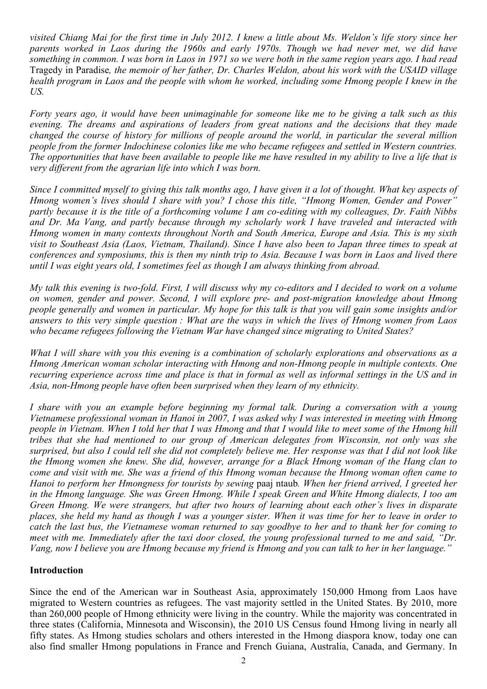*visited Chiang Mai for the first time in July 2012. I knew a little about Ms. Weldon's life story since her parents worked in Laos during the 1960s and early 1970s. Though we had never met, we did have something in common. I was born in Laos in 1971 so we were both in the same region years ago. I had read*  Tragedy in Paradise*, the memoir of her father, Dr. Charles Weldon, about his work with the USAID village health program in Laos and the people with whom he worked, including some Hmong people I knew in the US.*

*Forty years ago, it would have been unimaginable for someone like me to be giving a talk such as this evening. The dreams and aspirations of leaders from great nations and the decisions that they made changed the course of history for millions of people around the world, in particular the several million people from the former Indochinese colonies like me who became refugees and settled in Western countries. The opportunities that have been available to people like me have resulted in my ability to live a life that is very different from the agrarian life into which I was born.*

*Since I committed myself to giving this talk months ago, I have given it a lot of thought. What key aspects of Hmong women's lives should I share with you? I chose this title, "Hmong Women, Gender and Power" partly because it is the title of a forthcoming volume I am co-editing with my colleagues, Dr. Faith Nibbs and Dr. Ma Vang, and partly because through my scholarly work I have traveled and interacted with Hmong women in many contexts throughout North and South America, Europe and Asia. This is my sixth visit to Southeast Asia (Laos, Vietnam, Thailand). Since I have also been to Japan three times to speak at conferences and symposiums, this is then my ninth trip to Asia. Because I was born in Laos and lived there until I was eight years old, I sometimes feel as though I am always thinking from abroad.*

*My talk this evening is two-fold. First, I will discuss why my co-editors and I decided to work on a volume on women, gender and power. Second, I will explore pre- and post-migration knowledge about Hmong people generally and women in particular. My hope for this talk is that you will gain some insights and/or answers to this very simple question : What are the ways in which the lives of Hmong women from Laos who became refugees following the Vietnam War have changed since migrating to United States?*

*What I will share with you this evening is a combination of scholarly explorations and observations as a Hmong American woman scholar interacting with Hmong and non-Hmong people in multiple contexts. One recurring experience across time and place is that in formal as well as informal settings in the US and in Asia, non-Hmong people have often been surprised when they learn of my ethnicity.*

*I share with you an example before beginning my formal talk. During a conversation with a young Vietnamese professional woman in Hanoi in 2007, I was asked why I was interested in meeting with Hmong people in Vietnam. When I told her that I was Hmong and that I would like to meet some of the Hmong hill tribes that she had mentioned to our group of American delegates from Wisconsin, not only was she surprised, but also I could tell she did not completely believe me. Her response was that I did not look like the Hmong women she knew. She did, however, arrange for a Black Hmong woman of the Hang clan to come and visit with me. She was a friend of this Hmong woman because the Hmong woman often came to Hanoi to perform her Hmongness for tourists by sewing* paaj ntaub*. When her friend arrived, I greeted her in the Hmong language. She was Green Hmong. While I speak Green and White Hmong dialects, I too am Green Hmong. We were strangers, but after two hours of learning about each other's lives in disparate places, she held my hand as though I was a younger sister. When it was time for her to leave in order to catch the last bus, the Vietnamese woman returned to say goodbye to her and to thank her for coming to meet with me. Immediately after the taxi door closed, the young professional turned to me and said, "Dr. Vang, now I believe you are Hmong because my friend is Hmong and you can talk to her in her language."*

#### **Introduction**

Since the end of the American war in Southeast Asia, approximately 150,000 Hmong from Laos have migrated to Western countries as refugees. The vast majority settled in the United States. By 2010, more than 260,000 people of Hmong ethnicity were living in the country. While the majority was concentrated in three states (California, Minnesota and Wisconsin), the 2010 US Census found Hmong living in nearly all fifty states. As Hmong studies scholars and others interested in the Hmong diaspora know, today one can also find smaller Hmong populations in France and French Guiana, Australia, Canada, and Germany. In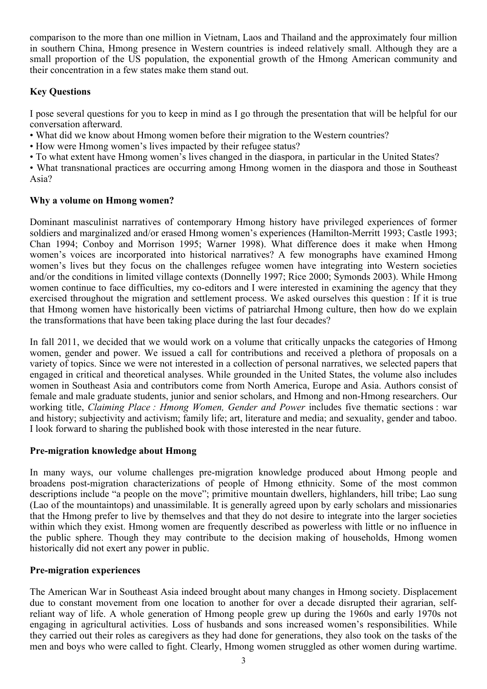comparison to the more than one million in Vietnam, Laos and Thailand and the approximately four million in southern China, Hmong presence in Western countries is indeed relatively small. Although they are a small proportion of the US population, the exponential growth of the Hmong American community and their concentration in a few states make them stand out.

#### **Key Questions**

I pose several questions for you to keep in mind as I go through the presentation that will be helpful for our conversation afterward.

- What did we know about Hmong women before their migration to the Western countries?
- How were Hmong women's lives impacted by their refugee status?
- To what extent have Hmong women's lives changed in the diaspora, in particular in the United States?
- What transnational practices are occurring among Hmong women in the diaspora and those in Southeast Asia?

#### **Why a volume on Hmong women?**

Dominant masculinist narratives of contemporary Hmong history have privileged experiences of former soldiers and marginalized and/or erased Hmong women's experiences (Hamilton-Merritt 1993; Castle 1993; Chan 1994; Conboy and Morrison 1995; Warner 1998). What difference does it make when Hmong women's voices are incorporated into historical narratives? A few monographs have examined Hmong women's lives but they focus on the challenges refugee women have integrating into Western societies and/or the conditions in limited village contexts (Donnelly 1997; Rice 2000; Symonds 2003). While Hmong women continue to face difficulties, my co-editors and I were interested in examining the agency that they exercised throughout the migration and settlement process. We asked ourselves this question : If it is true that Hmong women have historically been victims of patriarchal Hmong culture, then how do we explain the transformations that have been taking place during the last four decades?

In fall 2011, we decided that we would work on a volume that critically unpacks the categories of Hmong women, gender and power. We issued a call for contributions and received a plethora of proposals on a variety of topics. Since we were not interested in a collection of personal narratives, we selected papers that engaged in critical and theoretical analyses. While grounded in the United States, the volume also includes women in Southeast Asia and contributors come from North America, Europe and Asia. Authors consist of female and male graduate students, junior and senior scholars, and Hmong and non-Hmong researchers. Our working title, *Claiming Place : Hmong Women, Gender and Power* includes five thematic sections : war and history; subjectivity and activism; family life; art, literature and media; and sexuality, gender and taboo. I look forward to sharing the published book with those interested in the near future.

#### **Pre-migration knowledge about Hmong**

In many ways, our volume challenges pre-migration knowledge produced about Hmong people and broadens post-migration characterizations of people of Hmong ethnicity. Some of the most common descriptions include "a people on the move"; primitive mountain dwellers, highlanders, hill tribe; Lao sung (Lao of the mountaintops) and unassimilable. It is generally agreed upon by early scholars and missionaries that the Hmong prefer to live by themselves and that they do not desire to integrate into the larger societies within which they exist. Hmong women are frequently described as powerless with little or no influence in the public sphere. Though they may contribute to the decision making of households, Hmong women historically did not exert any power in public.

#### **Pre-migration experiences**

The American War in Southeast Asia indeed brought about many changes in Hmong society. Displacement due to constant movement from one location to another for over a decade disrupted their agrarian, selfreliant way of life. A whole generation of Hmong people grew up during the 1960s and early 1970s not engaging in agricultural activities. Loss of husbands and sons increased women's responsibilities. While they carried out their roles as caregivers as they had done for generations, they also took on the tasks of the men and boys who were called to fight. Clearly, Hmong women struggled as other women during wartime.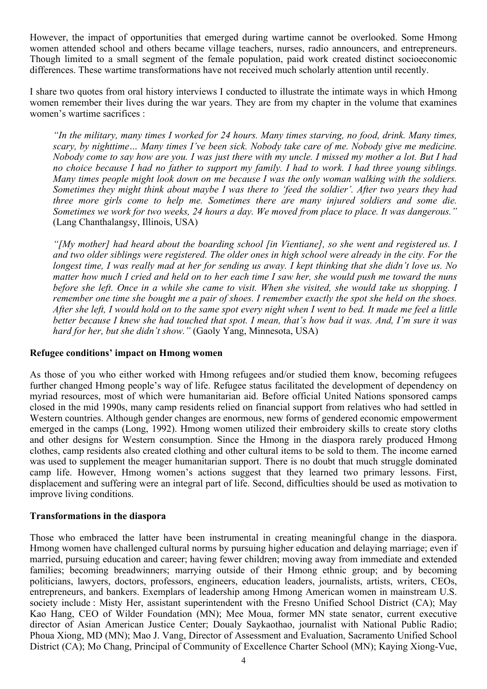However, the impact of opportunities that emerged during wartime cannot be overlooked. Some Hmong women attended school and others became village teachers, nurses, radio announcers, and entrepreneurs. Though limited to a small segment of the female population, paid work created distinct socioeconomic differences. These wartime transformations have not received much scholarly attention until recently.

I share two quotes from oral history interviews I conducted to illustrate the intimate ways in which Hmong women remember their lives during the war years. They are from my chapter in the volume that examines women's wartime sacrifices :

*"In the military, many times I worked for 24 hours. Many times starving, no food, drink. Many times, scary, by nighttime… Many times I've been sick. Nobody take care of me. Nobody give me medicine. Nobody come to say how are you. I was just there with my uncle. I missed my mother a lot. But I had no choice because I had no father to support my family. I had to work. I had three young siblings. Many times people might look down on me because I was the only woman walking with the soldiers. Sometimes they might think about maybe I was there to 'feed the soldier'. After two years they had three more girls come to help me. Sometimes there are many injured soldiers and some die. Sometimes we work for two weeks, 24 hours a day. We moved from place to place. It was dangerous."* (Lang Chanthalangsy, Illinois, USA)

*"[My mother] had heard about the boarding school [in Vientiane], so she went and registered us. I and two older siblings were registered. The older ones in high school were already in the city. For the longest time, I was really mad at her for sending us away. I kept thinking that she didn't love us. No matter how much I cried and held on to her each time I saw her, she would push me toward the nuns before she left. Once in a while she came to visit. When she visited, she would take us shopping. I remember one time she bought me a pair of shoes. I remember exactly the spot she held on the shoes. After she left, I would hold on to the same spot every night when I went to bed. It made me feel a little better because I knew she had touched that spot. I mean, that's how bad it was. And, I'm sure it was hard for her, but she didn't show."* (Gaoly Yang, Minnesota, USA)

#### **Refugee conditions' impact on Hmong women**

As those of you who either worked with Hmong refugees and/or studied them know, becoming refugees further changed Hmong people's way of life. Refugee status facilitated the development of dependency on myriad resources, most of which were humanitarian aid. Before official United Nations sponsored camps closed in the mid 1990s, many camp residents relied on financial support from relatives who had settled in Western countries. Although gender changes are enormous, new forms of gendered economic empowerment emerged in the camps (Long, 1992). Hmong women utilized their embroidery skills to create story cloths and other designs for Western consumption. Since the Hmong in the diaspora rarely produced Hmong clothes, camp residents also created clothing and other cultural items to be sold to them. The income earned was used to supplement the meager humanitarian support. There is no doubt that much struggle dominated camp life. However, Hmong women's actions suggest that they learned two primary lessons. First, displacement and suffering were an integral part of life. Second, difficulties should be used as motivation to improve living conditions.

#### **Transformations in the diaspora**

Those who embraced the latter have been instrumental in creating meaningful change in the diaspora. Hmong women have challenged cultural norms by pursuing higher education and delaying marriage; even if married, pursuing education and career; having fewer children; moving away from immediate and extended families; becoming breadwinners; marrying outside of their Hmong ethnic group; and by becoming politicians, lawyers, doctors, professors, engineers, education leaders, journalists, artists, writers, CEOs, entrepreneurs, and bankers. Exemplars of leadership among Hmong American women in mainstream U.S. society include : Misty Her, assistant superintendent with the Fresno Unified School District (CA); May Kao Hang, CEO of Wilder Foundation (MN); Mee Moua, former MN state senator, current executive director of Asian American Justice Center; Doualy Saykaothao, journalist with National Public Radio; Phoua Xiong, MD (MN); Mao J. Vang, Director of Assessment and Evaluation, Sacramento Unified School District (CA); Mo Chang, Principal of Community of Excellence Charter School (MN); Kaying Xiong-Vue,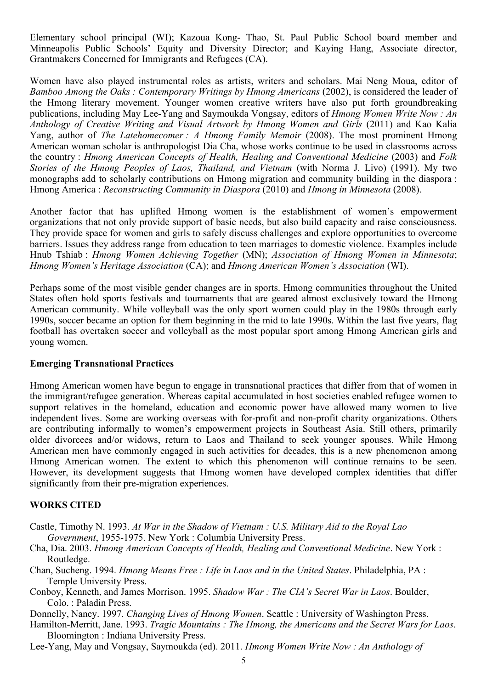Elementary school principal (WI); Kazoua Kong- Thao, St. Paul Public School board member and Minneapolis Public Schools' Equity and Diversity Director; and Kaying Hang, Associate director, Grantmakers Concerned for Immigrants and Refugees (CA).

Women have also played instrumental roles as artists, writers and scholars. Mai Neng Moua, editor of *Bamboo Among the Oaks : Contemporary Writings by Hmong Americans* (2002), is considered the leader of the Hmong literary movement. Younger women creative writers have also put forth groundbreaking publications, including May Lee-Yang and Saymoukda Vongsay, editors of *Hmong Women Write Now : An Anthology of Creative Writing and Visual Artwork by Hmong Women and Girls* (2011) and Kao Kalia Yang, author of *The Latehomecomer : A Hmong Family Memoir* (2008). The most prominent Hmong American woman scholar is anthropologist Dia Cha, whose works continue to be used in classrooms across the country : *Hmong American Concepts of Health, Healing and Conventional Medicine* (2003) and *Folk Stories of the Hmong Peoples of Laos, Thailand, and Vietnam* (with Norma J. Livo) (1991). My two monographs add to scholarly contributions on Hmong migration and community building in the diaspora : Hmong America : *Reconstructing Community in Diaspora* (2010) and *Hmong in Minnesota* (2008).

Another factor that has uplifted Hmong women is the establishment of women's empowerment organizations that not only provide support of basic needs, but also build capacity and raise consciousness. They provide space for women and girls to safely discuss challenges and explore opportunities to overcome barriers. Issues they address range from education to teen marriages to domestic violence. Examples include Hnub Tshiab : *Hmong Women Achieving Together* (MN); *Association of Hmong Women in Minnesota*; *Hmong Women's Heritage Association* (CA); and *Hmong American Women's Association* (WI).

Perhaps some of the most visible gender changes are in sports. Hmong communities throughout the United States often hold sports festivals and tournaments that are geared almost exclusively toward the Hmong American community. While volleyball was the only sport women could play in the 1980s through early 1990s, soccer became an option for them beginning in the mid to late 1990s. Within the last five years, flag football has overtaken soccer and volleyball as the most popular sport among Hmong American girls and young women.

#### **Emerging Transnational Practices**

Hmong American women have begun to engage in transnational practices that differ from that of women in the immigrant/refugee generation. Whereas capital accumulated in host societies enabled refugee women to support relatives in the homeland, education and economic power have allowed many women to live independent lives. Some are working overseas with for-profit and non-profit charity organizations. Others are contributing informally to women's empowerment projects in Southeast Asia. Still others, primarily older divorcees and/or widows, return to Laos and Thailand to seek younger spouses. While Hmong American men have commonly engaged in such activities for decades, this is a new phenomenon among Hmong American women. The extent to which this phenomenon will continue remains to be seen. However, its development suggests that Hmong women have developed complex identities that differ significantly from their pre-migration experiences.

#### **WORKS CITED**

- Castle, Timothy N. 1993. *At War in the Shadow of Vietnam : U.S. Military Aid to the Royal Lao Government*, 1955-1975. New York : Columbia University Press.
- Cha, Dia. 2003. *Hmong American Concepts of Health, Healing and Conventional Medicine*. New York : Routledge.
- Chan, Sucheng. 1994. *Hmong Means Free : Life in Laos and in the United States*. Philadelphia, PA : Temple University Press.
- Conboy, Kenneth, and James Morrison. 1995. *Shadow War : The CIA's Secret War in Laos*. Boulder, Colo. : Paladin Press.
- Donnelly, Nancy. 1997. *Changing Lives of Hmong Women*. Seattle : University of Washington Press.
- Hamilton-Merritt, Jane. 1993. *Tragic Mountains : The Hmong, the Americans and the Secret Wars for Laos*. Bloomington : Indiana University Press.

Lee-Yang, May and Vongsay, Saymoukda (ed). 2011. *Hmong Women Write Now : An Anthology of*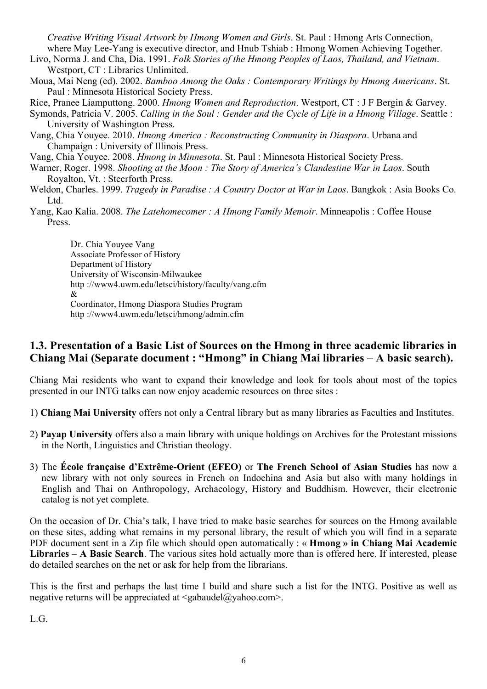*Creative Writing Visual Artwork by Hmong Women and Girls*. St. Paul : Hmong Arts Connection, where May Lee-Yang is executive director, and Hnub Tshiab : Hmong Women Achieving Together.

- Livo, Norma J. and Cha, Dia. 1991. *Folk Stories of the Hmong Peoples of Laos, Thailand, and Vietnam*. Westport, CT : Libraries Unlimited.
- Moua, Mai Neng (ed). 2002. *Bamboo Among the Oaks : Contemporary Writings by Hmong Americans*. St. Paul : Minnesota Historical Society Press.

Rice, Pranee Liamputtong. 2000. *Hmong Women and Reproduction*. Westport, CT : J F Bergin & Garvey.

- Symonds, Patricia V. 2005. *Calling in the Soul : Gender and the Cycle of Life in a Hmong Village*. Seattle : University of Washington Press.
- Vang, Chia Youyee. 2010. *Hmong America : Reconstructing Community in Diaspora*. Urbana and Champaign : University of Illinois Press.
- Vang, Chia Youyee. 2008. *Hmong in Minnesota*. St. Paul : Minnesota Historical Society Press.
- Warner, Roger. 1998. *Shooting at the Moon : The Story of America's Clandestine War in Laos*. South Royalton, Vt. : Steerforth Press.
- Weldon, Charles. 1999. *Tragedy in Paradise : A Country Doctor at War in Laos*. Bangkok : Asia Books Co. L<sub>td</sub>
- Yang, Kao Kalia. 2008. *The Latehomecomer : A Hmong Family Memoir*. Minneapolis : Coffee House Press.

Dr. Chia Youyee Vang Associate Professor of History Department of History University of Wisconsin-Milwaukee http ://www4.uwm.edu/letsci/history/faculty/vang.cfm & Coordinator, Hmong Diaspora Studies Program http ://www4.uwm.edu/letsci/hmong/admin.cfm

#### **1.3. Presentation of a Basic List of Sources on the Hmong in three academic libraries in Chiang Mai (Separate document : "Hmong" in Chiang Mai libraries – A basic search).**

Chiang Mai residents who want to expand their knowledge and look for tools about most of the topics presented in our INTG talks can now enjoy academic resources on three sites :

1) **Chiang Mai University** offers not only a Central library but as many libraries as Faculties and Institutes.

- 2) **Payap University** offers also a main library with unique holdings on Archives for the Protestant missions in the North, Linguistics and Christian theology.
- 3) The **École française d'Extrême-Orient (EFEO)** or **The French School of Asian Studies** has now a new library with not only sources in French on Indochina and Asia but also with many holdings in English and Thai on Anthropology, Archaeology, History and Buddhism. However, their electronic catalog is not yet complete.

On the occasion of Dr. Chia's talk, I have tried to make basic searches for sources on the Hmong available on these sites, adding what remains in my personal library, the result of which you will find in a separate PDF document sent in a Zip file which should open automatically : « **Hmong » in Chiang Mai Academic Libraries – A Basic Search**. The various sites hold actually more than is offered here. If interested, please do detailed searches on the net or ask for help from the librarians.

This is the first and perhaps the last time I build and share such a list for the INTG. Positive as well as negative returns will be appreciated at  $\langle$ gabaudel $\langle \hat{\omega} \rangle$ yahoo.com>.

L.G.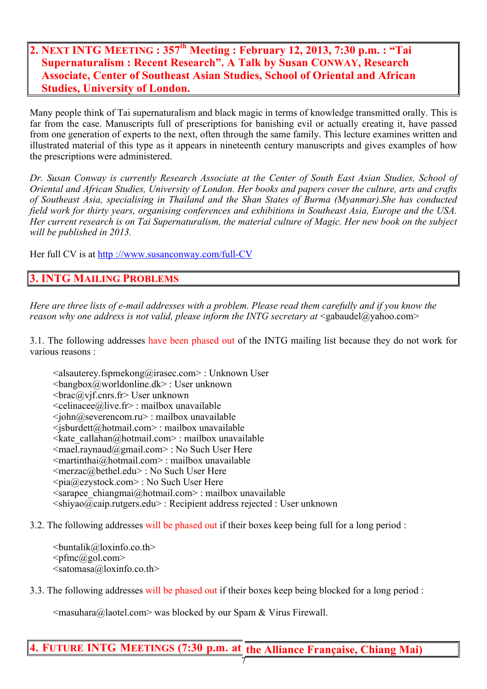#### **2. NEXT INTG MEETING : 357th Meeting : February 12, 2013, 7:30 p.m. : "Tai Supernaturalism : Recent Research". A Talk by Susan CONWAY, Research Associate, Center of Southeast Asian Studies, School of Oriental and African Studies, University of London.**

Many people think of Tai supernaturalism and black magic in terms of knowledge transmitted orally. This is far from the case. Manuscripts full of prescriptions for banishing evil or actually creating it, have passed from one generation of experts to the next, often through the same family. This lecture examines written and illustrated material of this type as it appears in nineteenth century manuscripts and gives examples of how the prescriptions were administered.

*Dr. Susan Conway is currently Research Associate at the Center of South East Asian Studies, School of Oriental and African Studies, University of London. Her books and papers cover the culture, arts and crafts of Southeast Asia, specialising in Thailand and the Shan States of Burma (Myanmar).She has conducted field work for thirty years, organising conferences and exhibitions in Southeast Asia, Europe and the USA. Her current research is on Tai Supernaturalism, the material culture of Magic. Her new book on the subject will be published in 2013.*

Her full CV is at http ://www.susanconway.com/full-CV

#### **INTG MAILING PROBLEMS**

*Here are three lists of e-mail addresses with a problem. Please read them carefully and if you know the reason why one address is not valid, please inform the INTG secretary at* <gabaudel@yahoo.com>

3.1. The following addresses have been phased out of the INTG mailing list because they do not work for various reasons :

<alsauterey.fspmekong@irasec.com> : Unknown User <bangbox@worldonline.dk> : User unknown  $\langle \text{brace@} \rangle$  vif.cnrs.fr> User unknown <celinacee@live.fr> : mailbox unavailable <john@severencom.ru> : mailbox unavailable <jsburdett@hotmail.com> : mailbox unavailable  $\leq$ kate\_callahan@hotmail.com> : mailbox unavailable  $\leq$ mael.raynaud $\overline{a}$ gmail.com> : No Such User Here <martinthai@hotmail.com> : mailbox unavailable <merzac@bethel.edu> : No Such User Here <pia@ezystock.com> : No Such User Here  $\leq$ sarapee\_chiangmai@hotmail.com> : mailbox unavailable  $\leq$ shiyao@caip.rutgers.edu> : Recipient address rejected : User unknown

#### 3.2. The following addresses will be phased out if their boxes keep being full for a long period :

 $\text{-}$ buntalik@loxinfo.co.th $\text{+}$  $\leq p$ fmc $(a)$ gol.com $>$  $\leq$ satomasa@loxinfo.co.th>

3.3. The following addresses will be phased out if their boxes keep being blocked for a long period :

 $\leq$ masuhara@laotel.com> was blocked by our Spam & Virus Firewall.

#### **4. FUTURE INTG MEETINGS (7:30 p.m. at the Alliance Française, Chiang Mai)**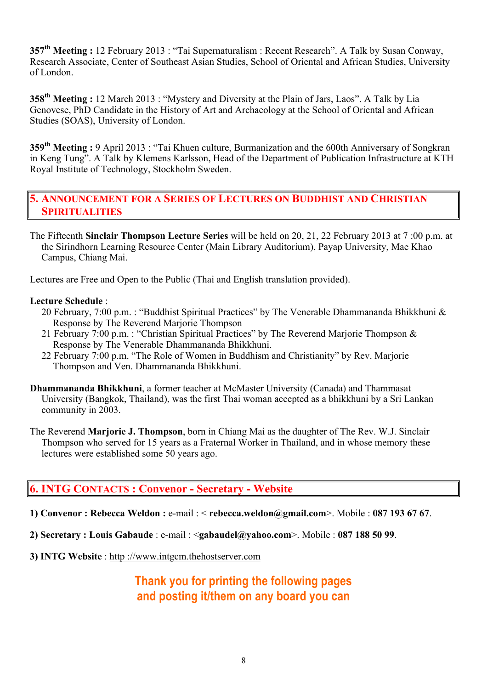**357th Meeting :** 12 February 2013 : "Tai Supernaturalism : Recent Research". A Talk by Susan Conway, Research Associate, Center of Southeast Asian Studies, School of Oriental and African Studies, University of London.

**358th Meeting :** 12 March 2013 : "Mystery and Diversity at the Plain of Jars, Laos". A Talk by Lia Genovese, PhD Candidate in the History of Art and Archaeology at the School of Oriental and African Studies (SOAS), University of London.

**359th Meeting :** 9 April 2013 : "Tai Khuen culture, Burmanization and the 600th Anniversary of Songkran in Keng Tung". A Talk by Klemens Karlsson, Head of the Department of Publication Infrastructure at KTH Royal Institute of Technology, Stockholm Sweden.

#### **5. ANNOUNCEMENT FOR A SERIES OF LECTURES ON BUDDHIST AND CHRISTIAN SPIRITUALITIES**

The Fifteenth **Sinclair Thompson Lecture Series** will be held on 20, 21, 22 February 2013 at 7 :00 p.m. at the Sirindhorn Learning Resource Center (Main Library Auditorium), Payap University, Mae Khao Campus, Chiang Mai.

Lectures are Free and Open to the Public (Thai and English translation provided).

#### **Lecture Schedule** :

- 20 February, 7:00 p.m. : "Buddhist Spiritual Practices" by The Venerable Dhammananda Bhikkhuni & Response by The Reverend Marjorie Thompson
- 21 February 7:00 p.m. : "Christian Spiritual Practices" by The Reverend Marjorie Thompson & Response by The Venerable Dhammananda Bhikkhuni.
- 22 February 7:00 p.m. "The Role of Women in Buddhism and Christianity" by Rev. Marjorie Thompson and Ven. Dhammananda Bhikkhuni.
- **Dhammananda Bhikkhuni**, a former teacher at McMaster University (Canada) and Thammasat University (Bangkok, Thailand), was the first Thai woman accepted as a bhikkhuni by a Sri Lankan community in 2003.
- The Reverend **Marjorie J. Thompson**, born in Chiang Mai as the daughter of The Rev. W.J. Sinclair Thompson who served for 15 years as a Fraternal Worker in Thailand, and in whose memory these lectures were established some 50 years ago.

#### **6. INTG CONTACTS : Convenor - Secretary - Website**

- **1) Convenor : Rebecca Weldon :** e-mail : < **rebecca.weldon@gmail.com**>. Mobile : **087 193 67 67**.
- **2) Secretary : Louis Gabaude** : e-mail : <**gabaudel@yahoo.com**>. Mobile : **087 188 50 99**.
- **3) INTG Website** : http ://www.intgcm.thehostserver.com

#### **Thank you for printing the following pages and posting it/them on any board you can**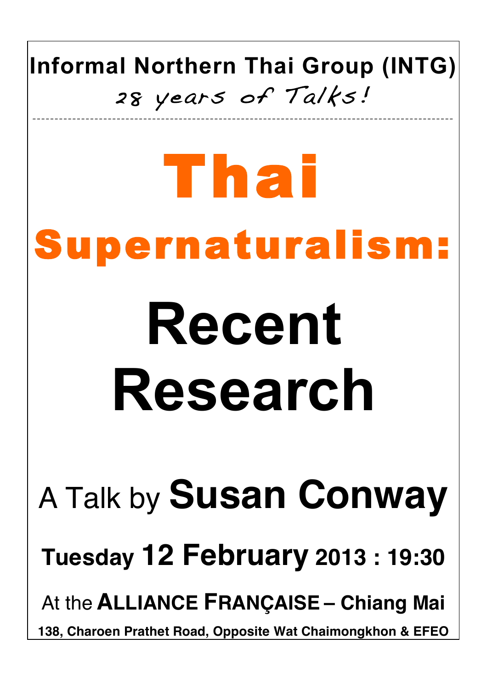### **Informal Northern Thai Group (INTG)** 28 years of Talks! \_\_\_\_\_\_\_\_\_\_\_\_\_\_\_\_\_\_\_\_\_\_\_\_\_\_\_\_\_\_\_\_\_\_\_\_\_\_\_\_\_\_\_\_\_\_\_\_\_\_\_\_\_\_\_\_\_\_\_\_\_\_\_\_\_\_\_\_\_\_\_\_\_\_ \_\_\_\_\_\_\_\_\_\_\_\_\_\_\_\_\_\_\_\_\_

## Thai Supernaturalism: **Recent Research** A Talk by **Susan Conway Tuesday 12 February 2013 : 19:30** At the **ALLIANCE FRANÇAISE – Chiang Mai 138, Charoen Prathet Road, Opposite Wat Chaimongkhon & EFEO**